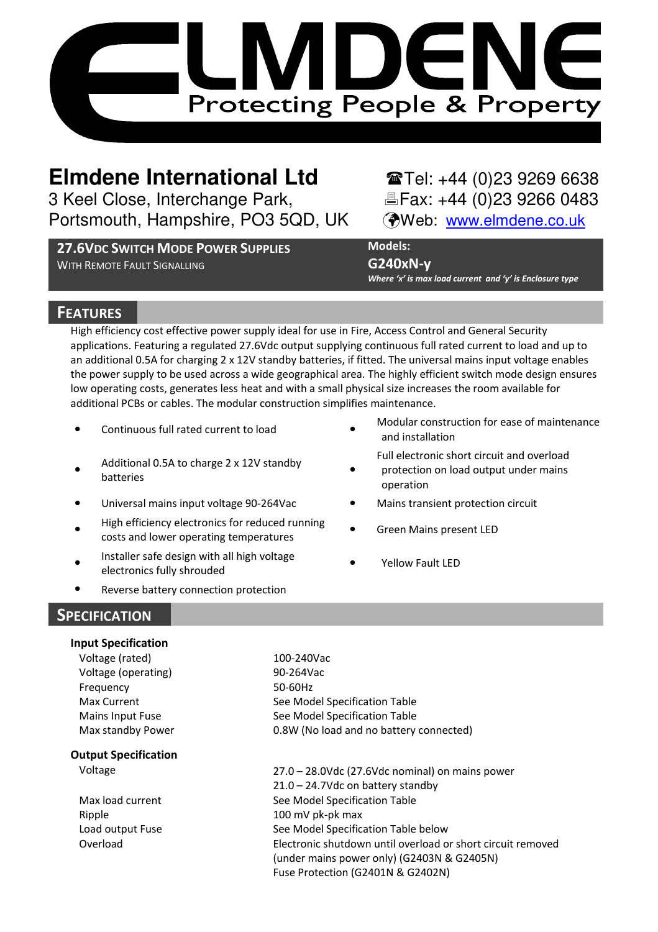

# **Elmdene International Ltd** Tel: +44 (0)23 9269 6638

3 Keel Close, Interchange Park, Fax: +44 (0)23 9266 0483 Portsmouth, Hampshire, PO3 5QD, UK (Web: www.elmdene.co.uk

**27.6VDC SWITCH MODE POWER SUPPLIES**  WITH REMOTE FAULT SIGNALLING

# **Models:**

**G240xN-y** 

*Where 'x' is max load current and 'y' is Enclosure type*

# **FEATURES**

High efficiency cost effective power supply ideal for use in Fire, Access Control and General Security applications. Featuring a regulated 27.6Vdc output supplying continuous full rated current to load and up to an additional 0.5A for charging 2 x 12V standby batteries, if fitted. The universal mains input voltage enables the power supply to be used across a wide geographical area. The highly efficient switch mode design ensures low operating costs, generates less heat and with a small physical size increases the room available for additional PCBs or cables. The modular construction simplifies maintenance.

- Continuous full rated current to load
- $\bullet$ Additional 0.5A to charge 2 x 12V standby batteries
- Universal mains input voltage 90-264Vac **•** Mains transient protection circuit
- $\bullet$ High efficiency electronics for reduced running costs and lower operating temperatures
- $\bullet$ Installer safe design with all high voltage electronics fully shrouded
- Reverse battery connection protection

Modular construction for ease of maintenance and installation

Full electronic short circuit and overload

- $\bullet$ protection on load output under mains operation
- 
- Green Mains present LED
- Yellow Fault LED

# **SPECIFICATION**

| <b>Input Specification</b>  |                                                             |
|-----------------------------|-------------------------------------------------------------|
| Voltage (rated)             | 100-240Vac                                                  |
| Voltage (operating)         | 90-264Vac                                                   |
| Frequency                   | 50-60Hz                                                     |
| Max Current                 | See Model Specification Table                               |
| Mains Input Fuse            | See Model Specification Table                               |
| Max standby Power           | 0.8W (No load and no battery connected)                     |
| <b>Output Specification</b> |                                                             |
| Voltage                     | 27.0 - 28.0Vdc (27.6Vdc nominal) on mains power             |
|                             | 21.0 - 24.7Vdc on battery standby                           |
| Max load current            | See Model Specification Table                               |
| Ripple                      | 100 mV pk-pk max                                            |
| Load output Fuse            | See Model Specification Table below                         |
| Overload                    | Electronic shutdown until overload or short circuit removed |
|                             | (under mains power only) (G2403N & G2405N)                  |
|                             | Fuse Protection (G2401N & G2402N)                           |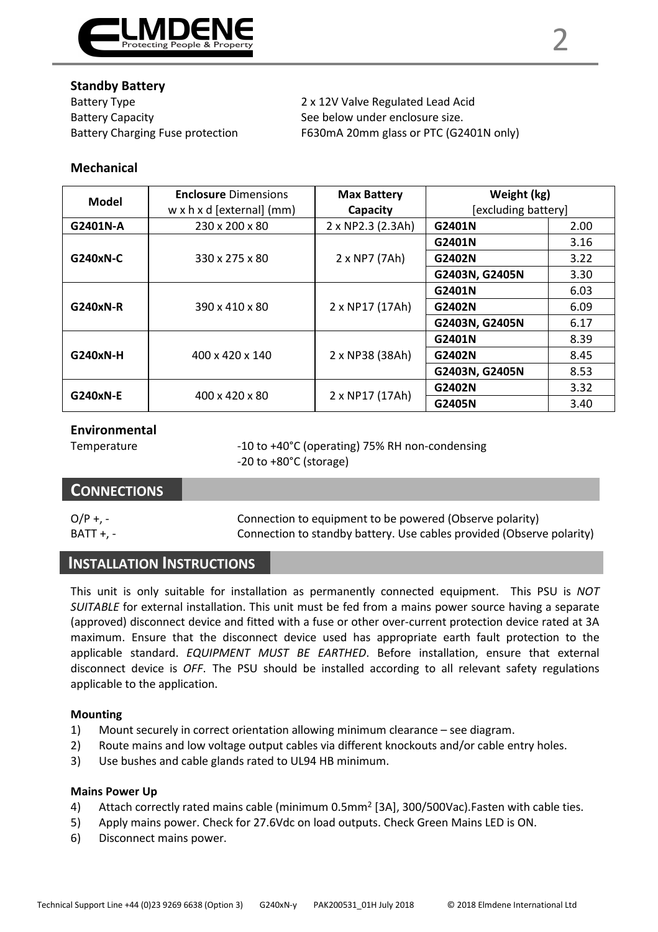

Battery Type 2 x 12V Valve Regulated Lead Acid Battery Capacity **See below under enclosure size.** See below under enclosure size.

Battery Charging Fuse protection F630mA 20mm glass or PTC (G2401N only)

#### **Mechanical**

| Model    | <b>Enclosure Dimensions</b><br>w x h x d [external] (mm) | <b>Max Battery</b><br>Capacity | Weight (kg)<br>[excluding battery] |      |
|----------|----------------------------------------------------------|--------------------------------|------------------------------------|------|
| G2401N-A | 230 x 200 x 80                                           | 2 x NP2.3 (2.3Ah)              | G2401N                             | 2.00 |
| G240xN-C | 330 x 275 x 80                                           |                                | G2401N                             | 3.16 |
|          |                                                          | 2 x NP7 (7Ah)                  | G2402N                             | 3.22 |
|          |                                                          |                                | G2403N, G2405N                     | 3.30 |
| G240xN-R | 390 x 410 x 80                                           | 2 x NP17 (17Ah)                | G2401N                             | 6.03 |
|          |                                                          |                                | G2402N                             | 6.09 |
|          |                                                          |                                | G2403N, G2405N                     | 6.17 |
| G240xN-H | 400 x 420 x 140                                          | 2 x NP38 (38Ah)                | G2401N                             | 8.39 |
|          |                                                          |                                | G2402N                             | 8.45 |
|          |                                                          |                                | G2403N, G2405N                     | 8.53 |
| G240xN-E | 400 x 420 x 80                                           |                                | G2402N                             | 3.32 |
|          |                                                          | 2 x NP17 (17Ah)                | G2405N                             | 3.40 |

### **Environmental**

Temperature -10 to +40°C (operating) 75% RH non-condensing -20 to +80°C (storage)

# **CONNECTIONS**

O/P +, - Connection to equipment to be powered (Observe polarity) BATT +, - Connection to standby battery. Use cables provided (Observe polarity)

# **INSTALLATION INSTRUCTIONS**

This unit is only suitable for installation as permanently connected equipment. This PSU is *NOT SUITABLE* for external installation. This unit must be fed from a mains power source having a separate (approved) disconnect device and fitted with a fuse or other over-current protection device rated at 3A maximum. Ensure that the disconnect device used has appropriate earth fault protection to the applicable standard. *EQUIPMENT MUST BE EARTHED*. Before installation, ensure that external disconnect device is *OFF*. The PSU should be installed according to all relevant safety regulations applicable to the application.

#### **Mounting**

- 1) Mount securely in correct orientation allowing minimum clearance see diagram.
- 2) Route mains and low voltage output cables via different knockouts and/or cable entry holes.
- 3) Use bushes and cable glands rated to UL94 HB minimum.

#### **Mains Power Up**

- 4) Attach correctly rated mains cable (minimum 0.5mm<sup>2</sup> [3A], 300/500Vac).Fasten with cable ties.
- 5) Apply mains power. Check for 27.6Vdc on load outputs. Check Green Mains LED is ON.
- 6) Disconnect mains power.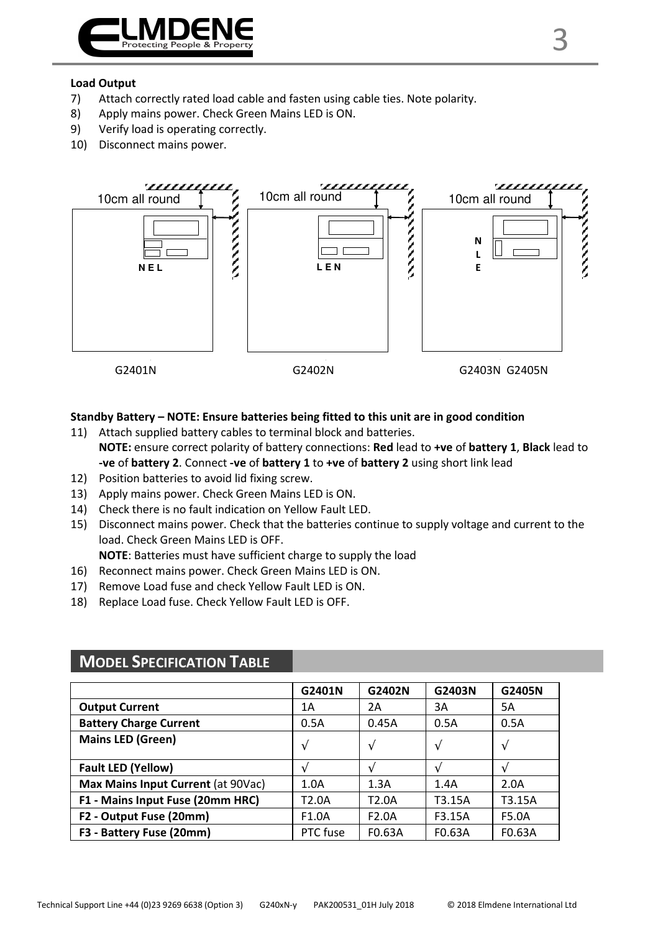

#### **Load Output**

- 7) Attach correctly rated load cable and fasten using cable ties. Note polarity.
- 8) Apply mains power. Check Green Mains LED is ON.
- 9) Verify load is operating correctly.
- 10) Disconnect mains power.



#### **Standby Battery – NOTE: Ensure batteries being fitted to this unit are in good condition**

- 11) Attach supplied battery cables to terminal block and batteries. **NOTE:** ensure correct polarity of battery connections: **Red** lead to **+ve** of **battery 1**, **Black** lead to **-ve** of **battery 2**. Connect **-ve** of **battery 1** to **+ve** of **battery 2** using short link lead
- 12) Position batteries to avoid lid fixing screw.
- 13) Apply mains power. Check Green Mains LED is ON.
- 14) Check there is no fault indication on Yellow Fault LED.
- 15) Disconnect mains power. Check that the batteries continue to supply voltage and current to the load. Check Green Mains LED is OFF.

**NOTE**: Batteries must have sufficient charge to supply the load

- 16) Reconnect mains power. Check Green Mains LED is ON.
- 17) Remove Load fuse and check Yellow Fault LED is ON.
- 18) Replace Load fuse. Check Yellow Fault LED is OFF.

|                                    | G2401N        | G2402N             | G2403N        | G2405N        |
|------------------------------------|---------------|--------------------|---------------|---------------|
| <b>Output Current</b>              | 1Α            | 2A                 | 3A            | 5A            |
| <b>Battery Charge Current</b>      | 0.5A          | 0.45A              | 0.5A          | 0.5A          |
| <b>Mains LED (Green)</b>           | $\mathcal{N}$ | V                  | $\mathcal{N}$ | $\mathcal{N}$ |
| <b>Fault LED (Yellow)</b>          |               |                    |               |               |
| Max Mains Input Current (at 90Vac) | 1.0A          | 1.3A               | 1.4A          | 2.0A          |
| F1 - Mains Input Fuse (20mm HRC)   | T2.0A         | T <sub>2.0</sub> A | T3.15A        | T3.15A        |
| F2 - Output Fuse (20mm)            | F1.0A         | F <sub>2.0</sub> A | F3.15A        | F5.0A         |
| F3 - Battery Fuse (20mm)           | PTC fuse      | F0.63A             | F0.63A        | F0.63A        |
|                                    |               |                    |               |               |

# **MODEL SPECIFICATION TABLE**